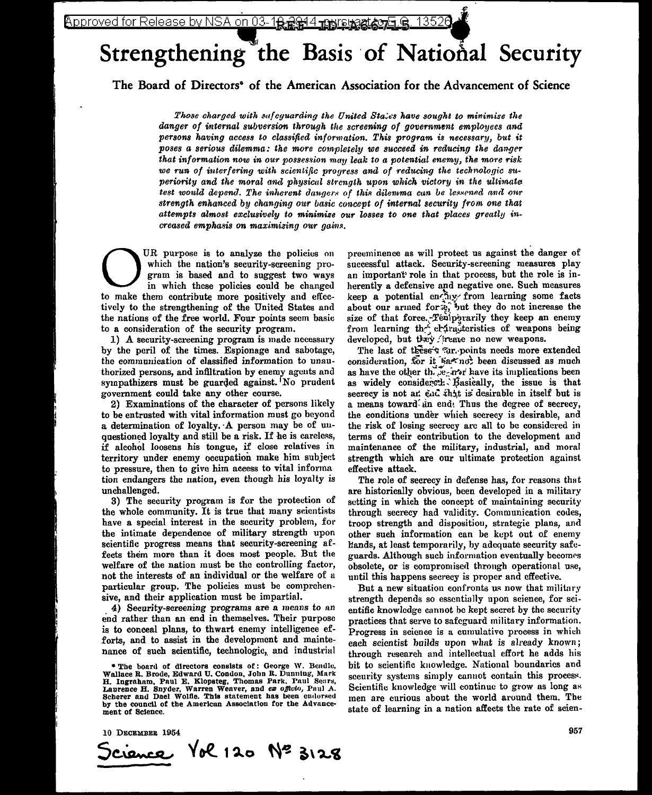# Strengthening the Basis of National Security

The Board of Directors<sup>\*</sup> of the American Association for the Advancement of Science

Those charged with sufeyuarding the United States have sought to minimize the danger of internal subversion through the screening of government employees and persons having access to classified information. This program is necessary, but it poses a serious dilemma: the more completely we succeed in reducing the danger that information now in our possession may leak to a potential enemy, the more risk we run of interfering with scientific progress and of reducing the technologic superiority and the moral and physical strength upon which victory in the ultimate test would depend. The inherent dangers of this dilemma can be lessened and our strength enhanced by changing our basic concept of internal security from one that attempts almost exclusively to minimize our losses to one that places greatly increased emphasis on maximizing our gains.

UR purpose is to analyze the policies on which the nation's security-screening program is based and to suggest two ways in which these policies could be changed to make them contribute more positively and effectively to the strengthening of the United States and the nations of the free world. Four points seem basic to a consideration of the security program.

1) A security-screening program is made necessary by the peril of the times. Espionage and sabotage, the communication of classified information to unauthorized persons, and infiltration by enemy agents and sympathizers must be guarded against. No prudent government could take any other course.

2) Examinations of the character of persons likely to be entrusted with vital information must go beyond a determination of loyalty. A person may be of unquestioned loyalty and still be a risk. If he is careless, if alcohol loosens his tongue, if close relatives in territory under enemy occupation make him subject to pressure, then to give him access to vital informa tion endangers the nation, even though his loyalty is unchallenged.

3) The security program is for the protection of the whole community. It is true that many scientists have a special interest in the security problem, for the intimate dependence of military strength upon scientific progress means that security-screening affects them more than it does most people. But the welfare of the nation must be the controlling factor, not the interests of an individual or the welfare of a particular group. The policies must be comprehensive, and their application must be impartial.

4) Security-screening programs are a means to an end rather than an end in themselves. Their purpose is to conceal plans, to thwart enemy intelligence efforts, and to assist in the development and maintenance of such scientific, technologic, and industrial

\* The board of directors consists of: George W. Bendle, Wallace R. Brode, Edward U. Condon, John R. Dunning, Mark H. Ingraham, Paul E. Klopsteg, Thomas Park, Paul Sears, Laurence H. Snyder, Warren Weaver, and ex officio, Paul A. Scherer and Dael Wolfie. This statement has been endorsed by the council of the American Association for the Advancement of Science.

preeminence as will protect us against the danger of successful attack. Security-screening measures play an important role in that process, but the role is inherently a defensive and negative one. Such measures keep a potential enchange from learning some facts about our armed forte, but they do not increase the size of that force. Teniperarily they keep an enemy from learning the critical teristics of weapons being developed, but they freate no new weapons.

The last of these's ar, points needs more extended consideration, for it was not been discussed as much as have the other the  $e_i$  and have its implications been as widely considered: Basically, the issue is that secrecy is not an end that is desirable in itself but is a means toward an end. Thus the degree of secrecy, the conditions under which secrecy is desirable, and the risk of losing secrecy are all to be considered in terms of their contribution to the development and maintenance of the military, industrial, and moral strength which are our ultimate protection against effective attack.

The role of secrecy in defense has, for reasons that are historically obvious, been developed in a military setting in which the concept of maintaining security through secrecy had validity. Communication codes, troop strength and disposition, strategie plans, and other such information can be kept out of enemy Eands, at least temporarily, by adequate security safeguards. Although such information eventually becomes obsolete, or is compromised through operational use, until this happens secrecy is proper and effective.

But a new situation confronts us now that military strength depends so essentially upon science, for scientific knowledge cannot be kept secret by the security practices that serve to safeguard military information. Progress in science is a cumulative process in which each scientist builds upon what is already known; through research and intellectual effort he adds his bit to scientific knowledge. National boundaries and security systems simply cannot contain this process. Scientific knowledge will continue to grow as long as men are curious about the world around them. The state of learning in a nation affects the rate of scien-

10 DECEMBER 1954

 $\sqrt{6}$  120  $N^2$  3128 التصيحي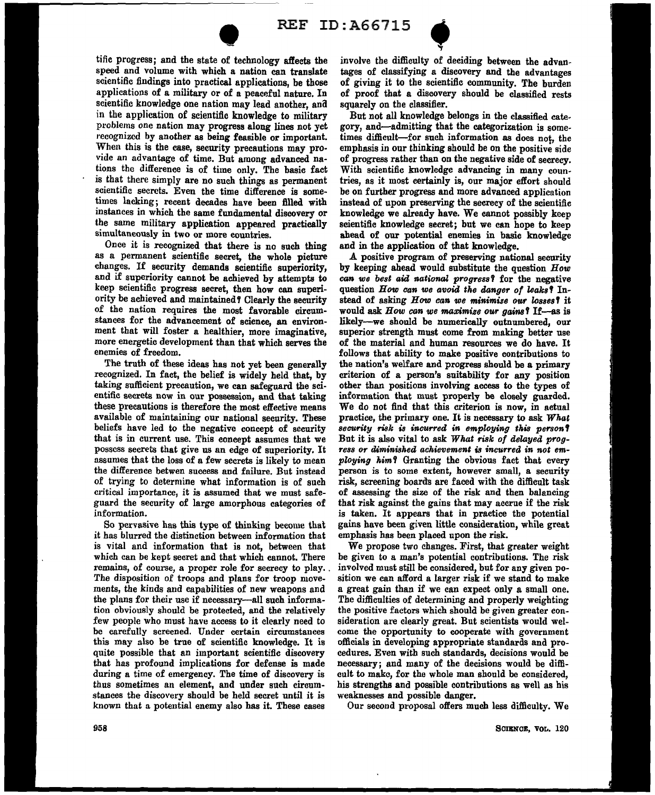



speed and volume with which a nation can translate tific progress; and the state of technology affects scientific findings into practical applications, be those applications of a military or of a peaceful nature. In scientific knowledge one nation may lead another, and in the application of scientific knowledge to military problems one nation may progress along lines not yet recognized by another as being feasible or important. When this is the case, security precautions may provide an advantage of time. But among advanced nations the difference is of time only. The basic fact is that there simply are no such things as permanent scientific secrets. Even the time difference is sometimes lacking; recent decades have been filled with instances in which the same fundamental discovery or the same military application appeared practically simultaneously in two or more countries.

Once it is recognized that there is no such thing as a permanent scientific secret, the whole picture changes. If security demands scientific superiority, and if superiority cannot be achieved by attempts to keep scientific progress secret, then how can superiority be achieved and maintained? Clearly the security of the nation requires the most favorable circumstances for the advancement of science, an environment that will foster a healthier, more imaginative, more energetic development than that which serves the enemies of freedom.

The truth of these ideas has not yet been generally recognized. In fact, the belief is widely held that, by taking sufficient precaution, we can safeguard the scientific secrets now in our possession, and that taking these precautions is therefore the most effective means available of maintaining our national security. These beliefs have led to the negative concept of security that is in current use. This concept assumes that we possess secrets that give us an edge of superiority. It assumes that the loss of a few secrets is likely to mean the difference betwen success and failure. But instead of trying to determine what information is of such critical importance, it is assumed that we must safeguard the security of large amorphous categories of information.

So pervasive has this type of thinking become that it has blurred the distinction between information that is vital and information that is not, between that which can be kept secret and that which cannot. There remains, of course, a proper role for secrecy to play. The disposition of troops and plans for troop movements, the kinds and capabilities of new weapons and the plans for their use if necessary-all such information obviously should be protected, and the relatively few people who must have access to it clearly need to be carefully screened. Under certain circumstances this may also be true of scientific knowledge. It is quite possible that an important scientific discovery that has profound implications for defense is made during a time of emergency. The time of discovery is thus sometimes an element, and under such circumstances the discovery should be held secret until it is known that a potential enemy also has it. These cases

ID :  $A66715$ <br>the involve the difficulty of deciding between the advan-<br>ate tages of classifying a discovery and the advantages<br>ose of giving it to the scientific community. The bracker involve the difficulty of deciding between the advanof giving it to the scientific community. The burden of proof that a discovery should be classified rests squarely on the classifier.

But not all knowledge belongs in the classified category, and-admitting that the categorization is sometimes difficult-for such information as does not, the emphasis in our thinking should be on the positive side of progress rather than on the negative side of secrecy. With scientific knowledge advancing in many countries, as it most certainly is, our major effort should be on further progress and more advanced application instead of upon preserving the secrecy of the scientific knowledge we already have. We cannot possibly keep scientific knowledge secret; but we can hope to keep ahead of our potential enemies in basic knowledge and in the application of that knowledge.

A positive program of preserving national security by keeping ahead would substitute the question *How can we best aid national progress* T for the negative question *How can we avoid the danger of leaksT* Instead of asking *How can we minimize our losses*? it would ask *How can we maximize our gains*? If-as is likely-we should be numerically outnumbered, our superior strength must come from making better use of the material and human resources we do have. It follows that ability to make positive contributions to the nation's welfare and progress should be a primary criterion of a person's suitability for any position other than positions involving access to the types of information that must properly be closely guarded. We do not find that this criterion is now, in actual practice, the primary one. It is necessary to ask *What*   $s$ *ecurity risk is incurred in employing this person?* But it is also vital to ask *What risk of delayed progress or diminished achievement is incurred in not employing him* T Granting the obvious fact that every person is to some extent, however small, a security risk, screening boards are faced with the difficult task of assessing the size of the risk and then balancing that risk against the gains that may accrue if the risk is taken. It appears that in practice the potential gains have been given little consideration, while great emphasis has been placed upon the risk.

We propose two changes. First, that greater weight be given to a man's potential contributions. The risk involved must still be considered, but for any given position we can afford a larger risk if we stand to make a great gain than if we can expect only a small one. The difficulties of determining and properly weighting the positive factors which should be given greater consideration are clearly great. But scientists would welcome the opportunity to cooperate with government officials in developing appropriate standards and procedures. Even with such standards, decisions would be necessary; and many of the decisions would be difficult to make, for the whole man should be considered, his strengths and possible contributions as well as his weaknesses and possible danger.

Our second proposal offers much less difficulty. We